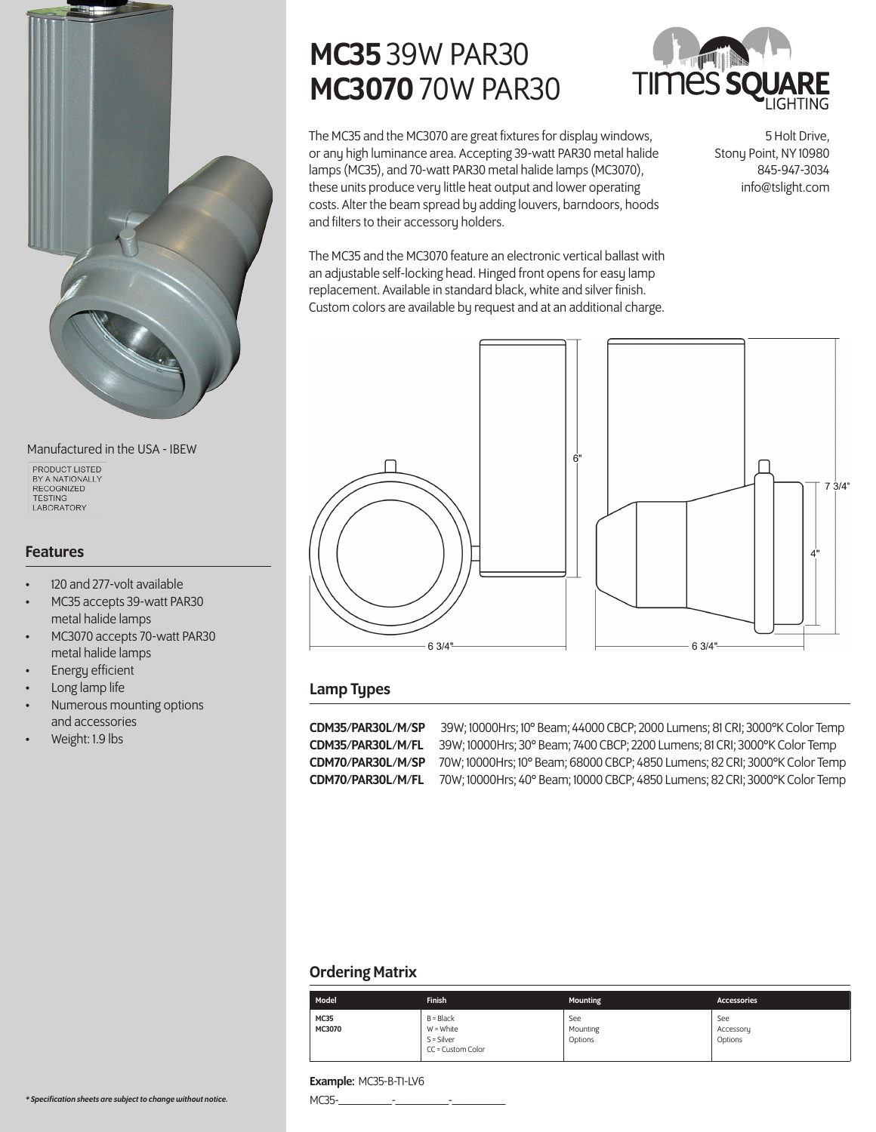

### Manufactured in the USA - IBEW

PRODUCT LISTED BY A NATIONALLY<br>RECOGNIZED TESTING<br>LABORATORY

# Features

- 120 and 277-volt available
- MC35 accepts 39-watt PAR30 metal halide lamps
- MC3070 accepts 70-watt PAR30 metal halide lamps
- Energy efficient
- Long lamp life
- Numerous mounting options and accessories
- Weight: 1.9 lbs

# MC35 39W PAR30 MC3070 70W PAR30



The MC35 and the MC3070 are great fixtures for display windows, or any high luminance area. Accepting 39-watt PAR30 metal halide lamps (MC35), and 70-watt PAR30 metal halide lamps (MC3070), these units produce very little heat output and lower operating costs. Alter the beam spread by adding louvers, barndoors, hoods and filters to their accessory holders.

5 Holt Drive, Stony Point, NY 10980 845-947-3034 info@tslight.com

The MC35 and the MC3070 feature an electronic vertical ballast with an adjustable self-locking head. Hinged front opens for easy lamp replacement. Available in standard black, white and silver finish. Custom colors are available by request and at an additional charge.





# Lamp Types

CDM35/PAR30L/M/SP 39W; 10000Hrs; 10° Beam; 44000 CBCP; 2000 Lumens; 81 CRI; 3000°K Color Temp CDM35/PAR30L/M/FL 39W; 10000Hrs; 30° Beam; 7400 CBCP; 2200 Lumens; 81 CRI; 3000°K Color Temp CDM70/PAR30L/M/SP 70W; 10000Hrs; 10° Beam; 68000 CBCP; 4850 Lumens; 82 CRI; 3000°K Color Temp CDM70/PAR30L/M/FL 70W; 10000Hrs; 40° Beam; 10000 CBCP; 4850 Lumens; 82 CRI; 3000°K Color Temp

# Ordering Matrix

| Model                 | <b>Finish</b>                                                   | <b>Mounting</b>            | <b>Accessories</b>          |
|-----------------------|-----------------------------------------------------------------|----------------------------|-----------------------------|
| <b>MC35</b><br>MC3070 | $B = Black$<br>$W = White$<br>$S = Silver$<br>CC = Custom Color | See<br>Mounting<br>Options | See<br>Accessory<br>Options |

# Example: MC35-B-T1-LV6

MC35-\_\_\_\_\_\_\_\_\_\_\_\_\_\_\_-\_\_